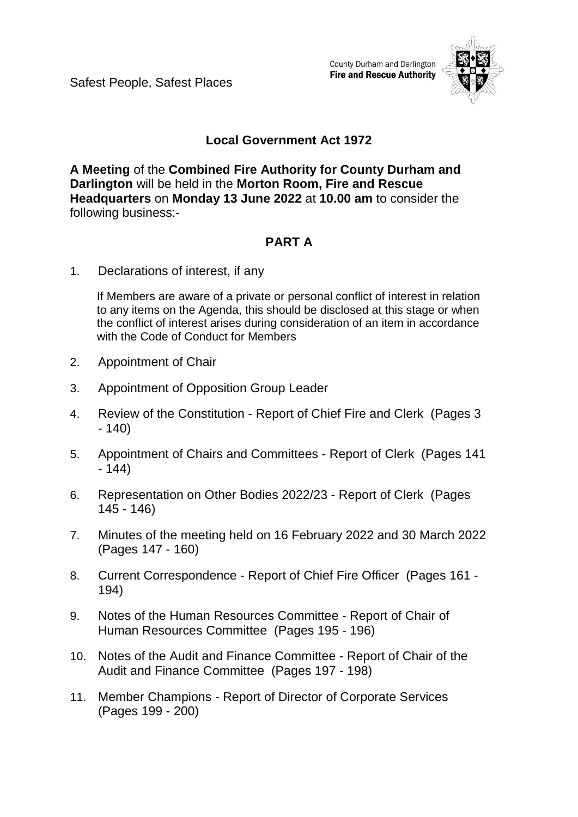Safest People, Safest Places

County Durham and Darlington **Fire and Rescue Authority** 



# **Local Government Act 1972**

**A Meeting** of the **Combined Fire Authority for County Durham and Darlington** will be held in the **Morton Room, Fire and Rescue Headquarters** on **Monday 13 June 2022** at **10.00 am** to consider the following business:-

# **PART A**

1. Declarations of interest, if any

If Members are aware of a private or personal conflict of interest in relation to any items on the Agenda, this should be disclosed at this stage or when the conflict of interest arises during consideration of an item in accordance with the Code of Conduct for Members

- 2. Appointment of Chair
- 3. Appointment of Opposition Group Leader
- 4. Review of the Constitution Report of Chief Fire and Clerk(Pages 3 - 140)
- 5. Appointment of Chairs and Committees Report of Clerk(Pages 141 - 144)
- 6. Representation on Other Bodies 2022/23 Report of Clerk(Pages 145 - 146)
- 7. Minutes of the meeting held on 16 February 2022 and 30 March 2022 (Pages 147 - 160)
- 8. Current Correspondence Report of Chief Fire Officer(Pages 161 194)
- 9. Notes of the Human Resources Committee Report of Chair of Human Resources Committee(Pages 195 - 196)
- 10. Notes of the Audit and Finance Committee Report of Chair of the Audit and Finance Committee(Pages 197 - 198)
- 11. Member Champions Report of Director of Corporate Services (Pages 199 - 200)